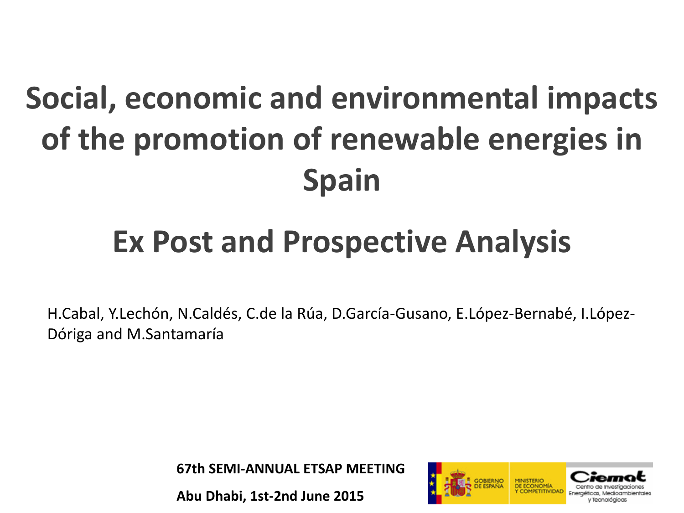# **Social, economic and environmental impacts of the promotion of renewable energies in Spain**

# **Ex Post and Prospective Analysis**

H.Cabal, Y.Lechón, N.Caldés, C.de la Rúa, D.García-Gusano, E.López-Bernabé, I.López-Dóriga and M.Santamaría

**67th SEMI-ANNUAL ETSAP MEETING**

**Abu Dhabi, 1st-2nd June 2015**

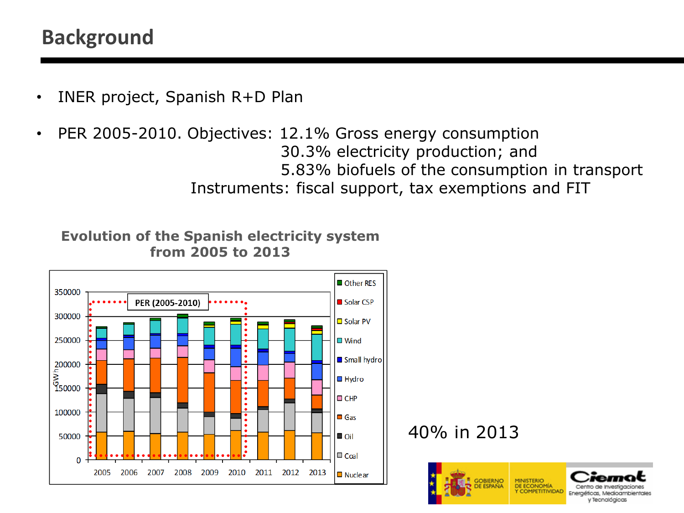# **Background**

- INER project, Spanish R+D Plan
- PER 2005-2010. Objectives: 12.1% Gross energy consumption 30.3% electricity production; and 5.83% biofuels of the consumption in transport Instruments: fiscal support, tax exemptions and FIT

**Evolution of the Spanish electricity system from 2005 to 2013**



### 40% in 2013

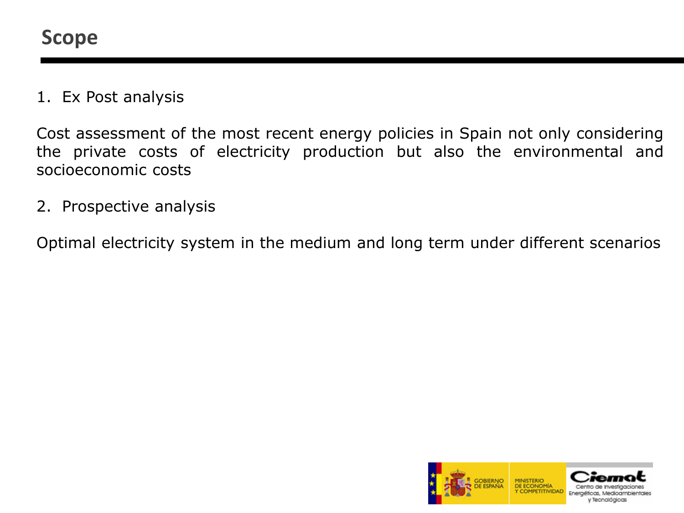#### 1. Ex Post analysis

Cost assessment of the most recent energy policies in Spain not only considering the private costs of electricity production but also the environmental and socioeconomic costs

2. Prospective analysis

Optimal electricity system in the medium and long term under different scenarios

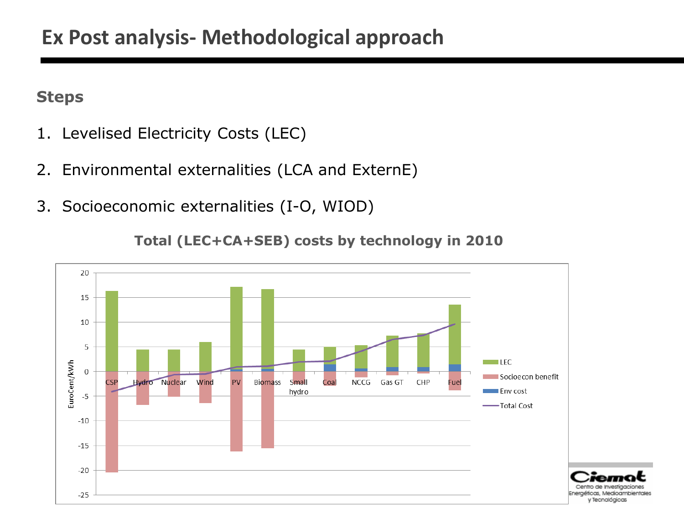#### **Steps**

- 1. Levelised Electricity Costs (LEC)
- 2. Environmental externalities (LCA and ExternE)
- 3. Socioeconomic externalities (I-O, WIOD)



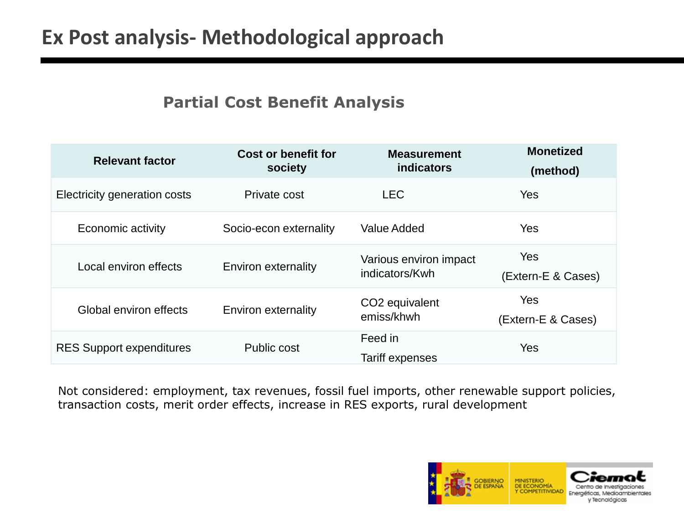# **Ex Post analysis- Methodological approach**

#### **Partial Cost Benefit Analysis**

| <b>Relevant factor</b>          | Cost or benefit for<br>society | <b>Measurement</b><br><b>indicators</b>  | <b>Monetized</b><br>(method)     |
|---------------------------------|--------------------------------|------------------------------------------|----------------------------------|
| Electricity generation costs    | Private cost                   | <b>LEC</b>                               | <b>Yes</b>                       |
| Economic activity               | Socio-econ externality         | Value Added                              | <b>Yes</b>                       |
| Local environ effects           | Environ externality            | Various environ impact<br>indicators/Kwh | <b>Yes</b><br>(Extern-E & Cases) |
| Global environ effects          | Environ externality            | CO <sub>2</sub> equivalent<br>emiss/khwh | Yes<br>(Extern-E & Cases)        |
| <b>RES Support expenditures</b> | Public cost                    | Feed in<br>Tariff expenses               | <b>Yes</b>                       |

Not considered: employment, tax revenues, fossil fuel imports, other renewable support policies, transaction costs, merit order effects, increase in RES exports, rural development

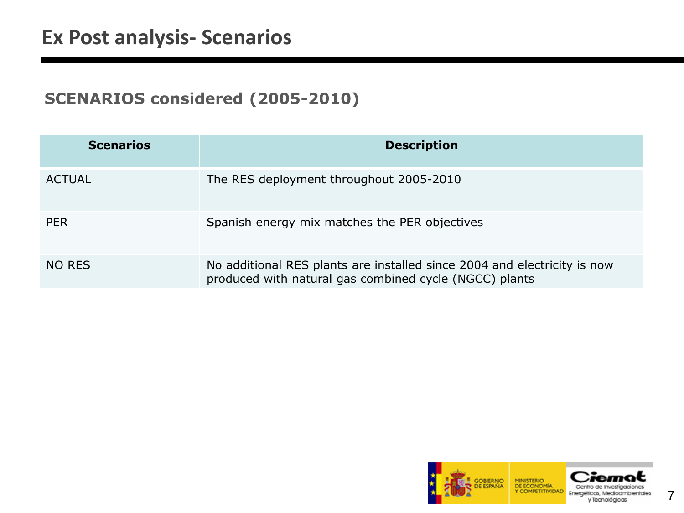### **SCENARIOS considered (2005-2010)**

| <b>Scenarios</b> | <b>Description</b>                                                                                                                 |
|------------------|------------------------------------------------------------------------------------------------------------------------------------|
| <b>ACTUAL</b>    | The RES deployment throughout 2005-2010                                                                                            |
| <b>PER</b>       | Spanish energy mix matches the PER objectives                                                                                      |
| <b>NO RES</b>    | No additional RES plants are installed since 2004 and electricity is now<br>produced with natural gas combined cycle (NGCC) plants |

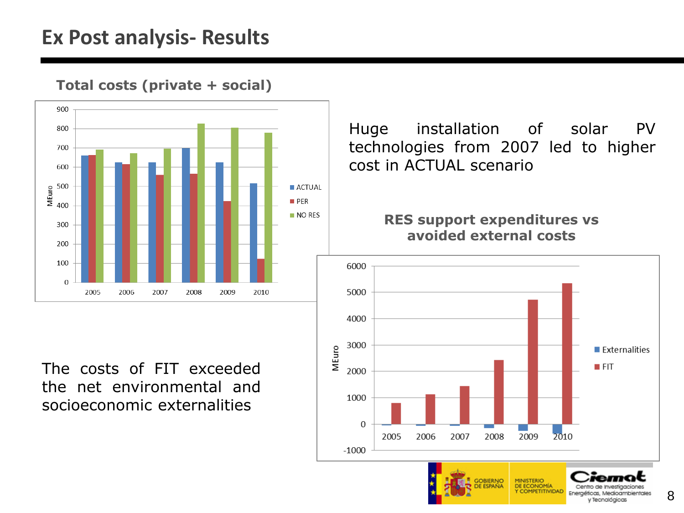## **Ex Post analysis- Results**



**Total costs (private + social)**

The costs of FIT exceeded the net environmental and socioeconomic externalities

Huge installation of solar PV technologies from 2007 led to higher cost in ACTUAL scenario**RES support expenditures vs avoided external costs** 6000 5000 4000 3000 MEuro Externalities  $\blacksquare$  FIT 2000 1000  $\mathbf{0}$ 2005 2006 2007 2008 2009 2010  $-1000$ **GOBIERNO**<br>DE ESPANA **MINISTERIO** DE ECONOMÍA **COMPETITIVIDAD** 

Energy

tions Medioambi v Tecnalóaicas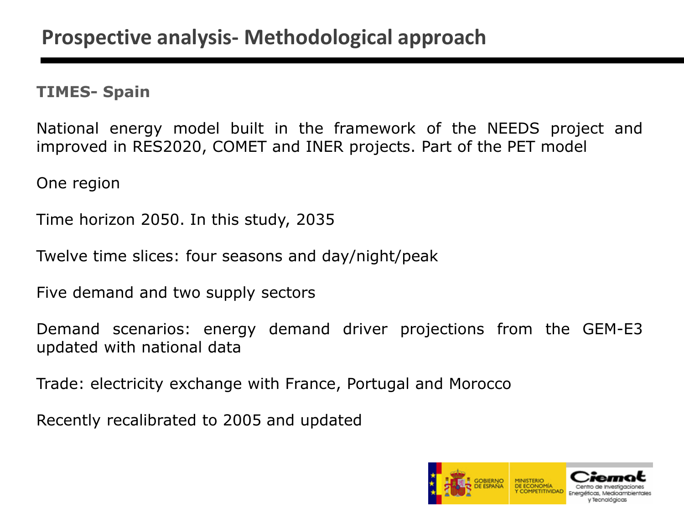#### **TIMES- Spain**

National energy model built in the framework of the NEEDS project and improved in RES2020, COMET and INER projects. Part of the PET model

One region

Time horizon 2050. In this study, 2035

Twelve time slices: four seasons and day/night/peak

Five demand and two supply sectors

Demand scenarios: energy demand driver projections from the GEM-E3 updated with national data

Trade: electricity exchange with France, Portugal and Morocco

Recently recalibrated to 2005 and updated

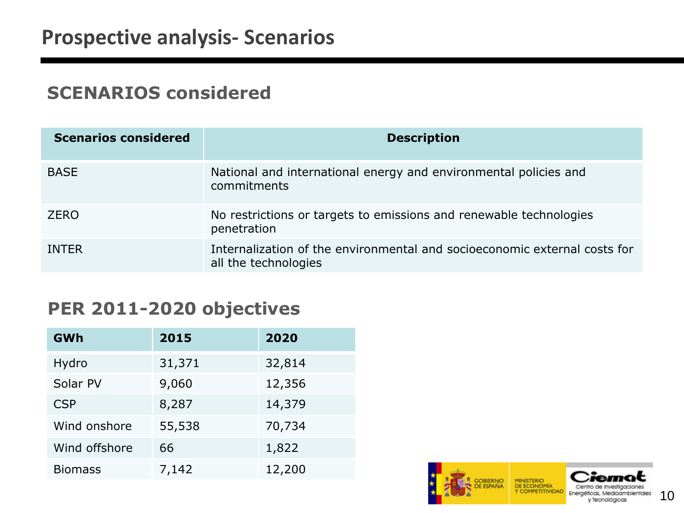## **SCENARIOS considered**

| <b>Scenarios considered</b> | <b>Description</b>                                                                                |
|-----------------------------|---------------------------------------------------------------------------------------------------|
| <b>BASE</b>                 | National and international energy and environmental policies and<br>commitments                   |
| ZERO                        | No restrictions or targets to emissions and renewable technologies<br>penetration                 |
| <b>INTER</b>                | Internalization of the environmental and socioeconomic external costs for<br>all the technologies |

## **PER 2011-2020 objectives**

| GWh            | 2015   | 2020   |
|----------------|--------|--------|
| Hydro          | 31,371 | 32,814 |
| Solar PV       | 9,060  | 12,356 |
| <b>CSP</b>     | 8,287  | 14,379 |
| Wind onshore   | 55,538 | 70,734 |
| Wind offshore  | 66     | 1,822  |
| <b>Biomass</b> | 7,142  | 12,200 |

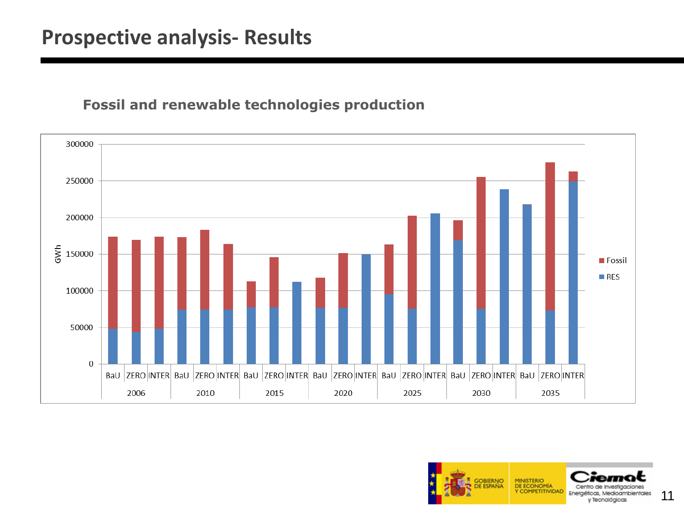## **Prospective analysis- Results**

#### **Fossil and renewable technologies production**



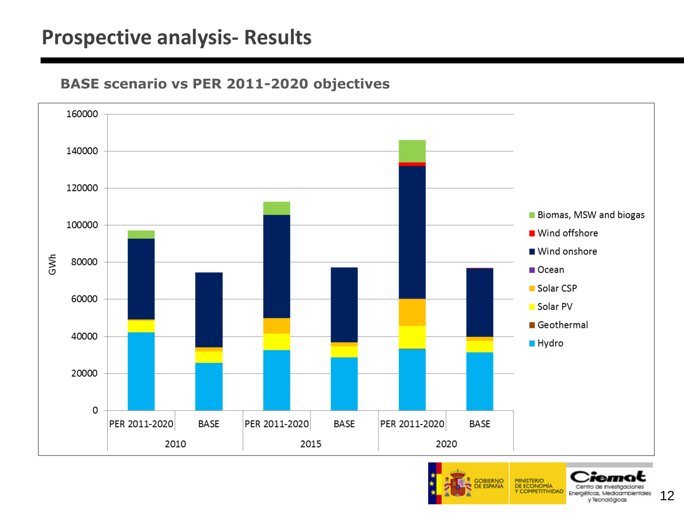## **Prospective analysis- Results**

#### **BASE scenario vs PER 2011-2020 objectives**



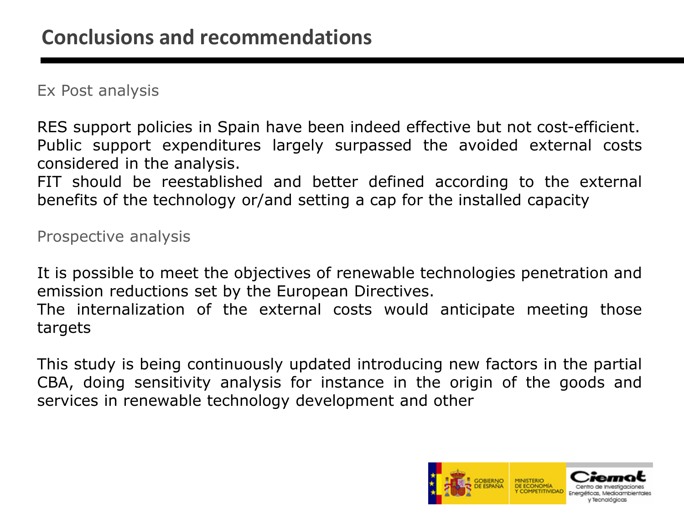Ex Post analysis

RES support policies in Spain have been indeed effective but not cost-efficient. Public support expenditures largely surpassed the avoided external costs considered in the analysis.

FIT should be reestablished and better defined according to the external benefits of the technology or/and setting a cap for the installed capacity

Prospective analysis

It is possible to meet the objectives of renewable technologies penetration and emission reductions set by the European Directives.

The internalization of the external costs would anticipate meeting those targets

This study is being continuously updated introducing new factors in the partial CBA, doing sensitivity analysis for instance in the origin of the goods and services in renewable technology development and other

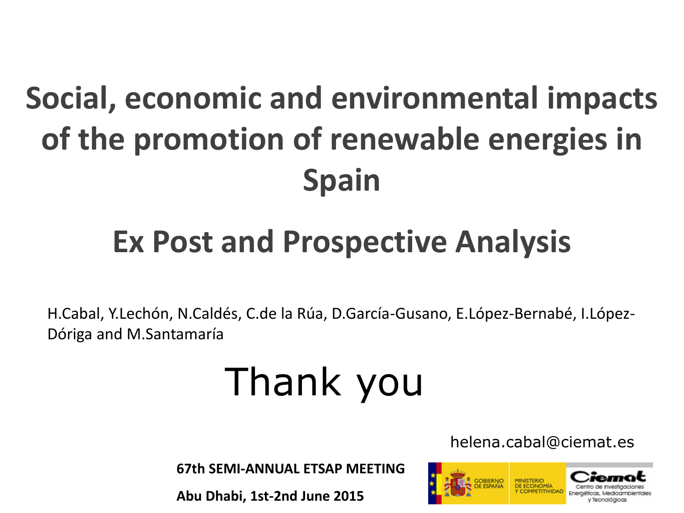# **Social, economic and environmental impacts of the promotion of renewable energies in Spain**

# **Ex Post and Prospective Analysis**

H.Cabal, Y.Lechón, N.Caldés, C.de la Rúa, D.García-Gusano, E.López-Bernabé, I.López-Dóriga and M.Santamaría

# Thank you

helena.cabal@ciemat.es

**67th SEMI-ANNUAL ETSAP MEETING**

**Abu Dhabi, 1st-2nd June 2015**

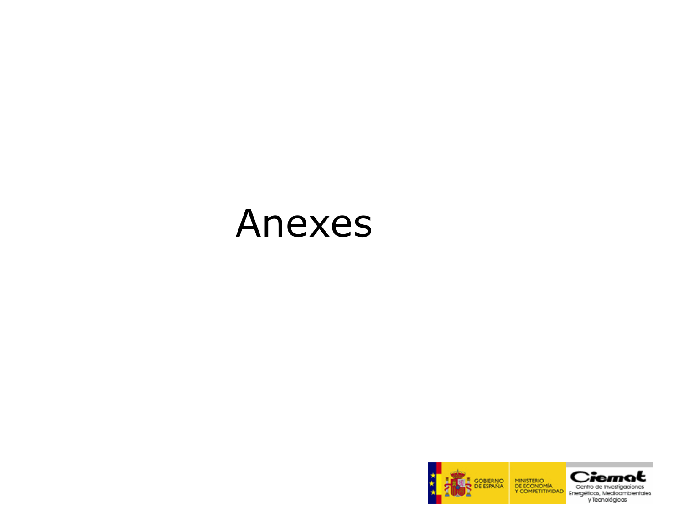# Anexes

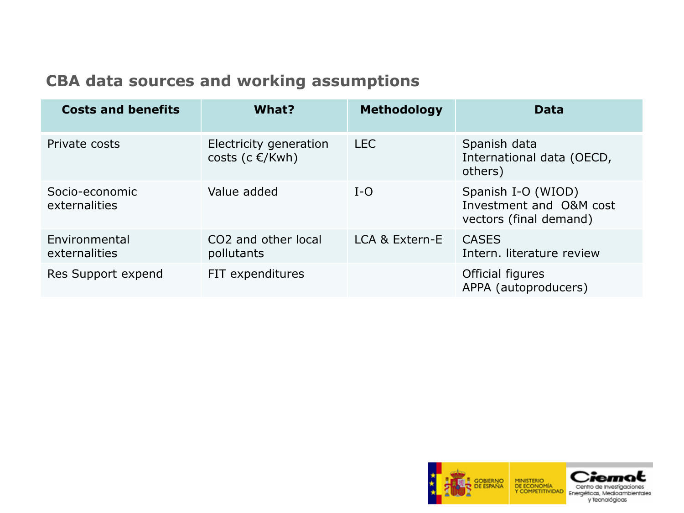### **CBA data sources and working assumptions**

| <b>Costs and benefits</b>       | What?                                               | <b>Methodology</b> | <b>Data</b>                                                             |
|---------------------------------|-----------------------------------------------------|--------------------|-------------------------------------------------------------------------|
| Private costs                   | Electricity generation<br>costs (c $\epsilon$ /Kwh) | <b>LEC</b>         | Spanish data<br>International data (OECD,<br>others)                    |
| Socio-economic<br>externalities | Value added                                         | $I-O$              | Spanish I-O (WIOD)<br>Investment and O&M cost<br>vectors (final demand) |
| Environmental<br>externalities  | CO <sub>2</sub> and other local<br>pollutants       | LCA & Extern-E     | <b>CASES</b><br>Intern, literature review                               |
| Res Support expend              | FIT expenditures                                    |                    | Official figures<br>APPA (autoproducers)                                |

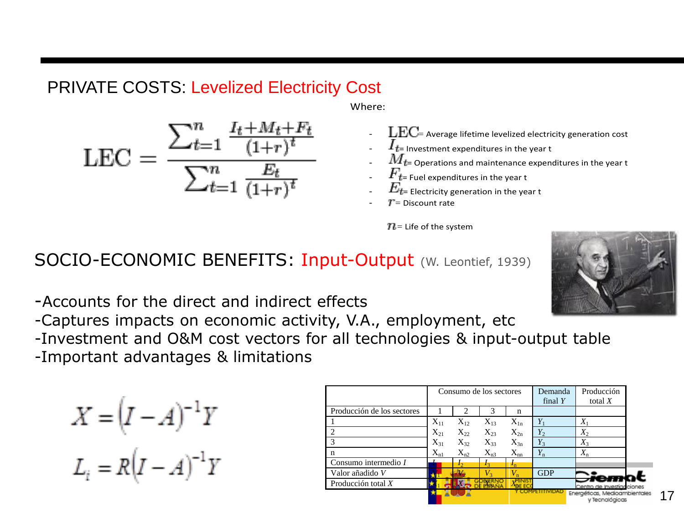## PRIVATE COSTS: Levelized Electricity Cost

 $LEC =$  $\frac{\angle t=1 \quad (1+r)^t}{\sum_{t=1}^n \frac{E_t}{(1+r)^t}}$  Where:

- $\textrm{LEC}_{\textrm{=}}$  Average lifetime levelized electricity generation cost
- $I_{t}$ = Investment expenditures in the year t
- $M_{t}$ = Operations and maintenance expenditures in the year t
- $F_{t}$ = Fuel expenditures in the year t
- $E_{t\textrm{=}}$  Electricity generation in the year t
- $T =$  Discount rate

 $n=$  Life of the system

## SOCIO-ECONOMIC BENEFITS: Input-Output (W. Leontief, 1939)

-Accounts for the direct and indirect effects -Captures impacts on economic activity, V.A., employment, etc -Investment and O&M cost vectors for all technologies & input-output table -Important advantages & limitations

$$
X = (I - A)^{-1}Y
$$

$$
L_i = R(I - A)^{-1}Y
$$

|                            | Consumo de los sectores |            |          | Demanda      | Producción  |                                                 |  |
|----------------------------|-------------------------|------------|----------|--------------|-------------|-------------------------------------------------|--|
|                            |                         |            |          | final $Y$    | total $X$   |                                                 |  |
| Producción de los sectores |                         | ∍          | 3        | n            |             |                                                 |  |
|                            | $X_{11}$                | $X_{12}$   | $X_{13}$ | $X_{1n}$     |             | $X_1$                                           |  |
| 2                          | $X_{21}$                | $X_{22}$   | $X_{23}$ | $X_{2n}$     |             | $X_2$                                           |  |
| 3                          | $X_{31}$                | $X_{32}$   | $X_{33}$ | $X_{3n}$     |             | $X_3$                                           |  |
| n                          | $X_{nl}$                | $X_{n2}$   | $X_{n3}$ | $\rm X_{nn}$ | $Y_{\rm n}$ | $X_{n}$                                         |  |
| Consumo intermedio I       |                         | $\sqrt{2}$ | 12       |              |             |                                                 |  |
| Valor añadido V            |                         |            |          |              | <b>GDP</b>  |                                                 |  |
| Producción total $X$       |                         |            |          |              |             | Centro de investigaciones                       |  |
|                            |                         |            |          |              |             | Energéticas, Medioambientales<br>v Tecnalógicas |  |



17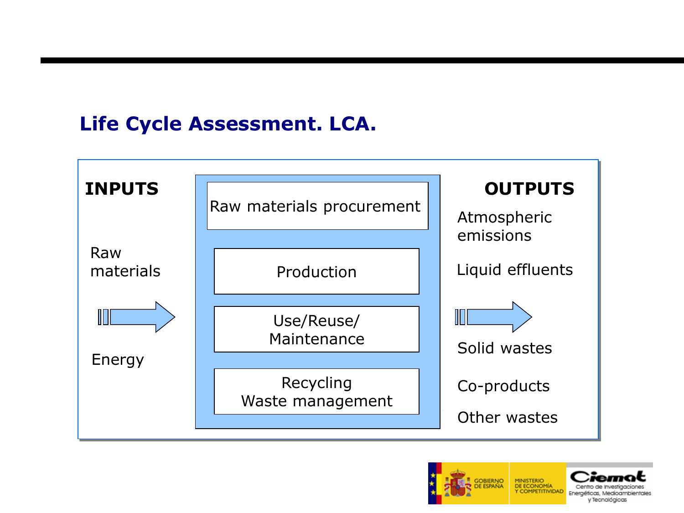## **Life Cycle Assessment. LCA.**



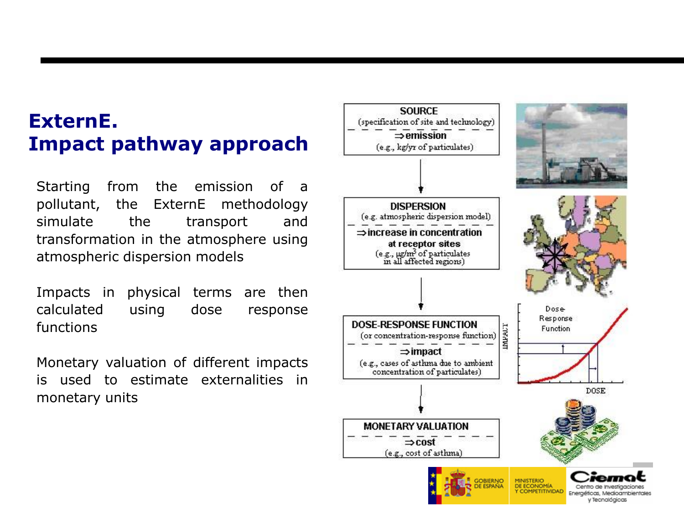## **ExternE. Impact pathway approach**

Starting from the emission of a pollutant, the ExternE methodology simulate the transport and transformation in the atmosphere using atmospheric dispersion models

Impacts in physical terms are then calculated using dose response functions

Monetary valuation of different impacts is used to estimate externalities in monetary units

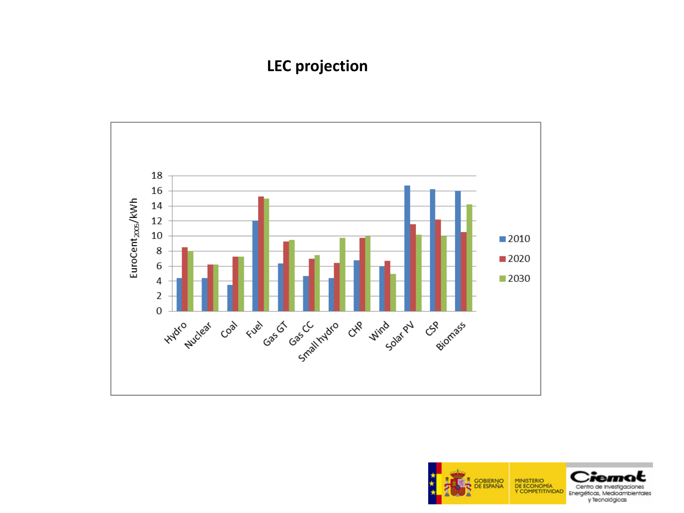### **LEC projection**